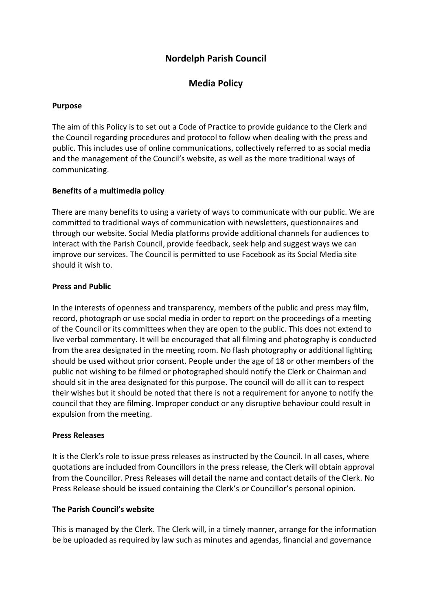# **Nordelph Parish Council**

## **Media Policy**

#### **Purpose**

The aim of this Policy is to set out a Code of Practice to provide guidance to the Clerk and the Council regarding procedures and protocol to follow when dealing with the press and public. This includes use of online communications, collectively referred to as social media and the management of the Council's website, as well as the more traditional ways of communicating.

## **Benefits of a multimedia policy**

There are many benefits to using a variety of ways to communicate with our public. We are committed to traditional ways of communication with newsletters, questionnaires and through our website. Social Media platforms provide additional channels for audiences to interact with the Parish Council, provide feedback, seek help and suggest ways we can improve our services. The Council is permitted to use Facebook as its Social Media site should it wish to.

#### **Press and Public**

In the interests of openness and transparency, members of the public and press may film, record, photograph or use social media in order to report on the proceedings of a meeting of the Council or its committees when they are open to the public. This does not extend to live verbal commentary. It will be encouraged that all filming and photography is conducted from the area designated in the meeting room. No flash photography or additional lighting should be used without prior consent. People under the age of 18 or other members of the public not wishing to be filmed or photographed should notify the Clerk or Chairman and should sit in the area designated for this purpose. The council will do all it can to respect their wishes but it should be noted that there is not a requirement for anyone to notify the council that they are filming. Improper conduct or any disruptive behaviour could result in expulsion from the meeting.

#### **Press Releases**

It is the Clerk's role to issue press releases as instructed by the Council. In all cases, where quotations are included from Councillors in the press release, the Clerk will obtain approval from the Councillor. Press Releases will detail the name and contact details of the Clerk. No Press Release should be issued containing the Clerk's or Councillor's personal opinion.

## **The Parish Council's website**

This is managed by the Clerk. The Clerk will, in a timely manner, arrange for the information be be uploaded as required by law such as minutes and agendas, financial and governance